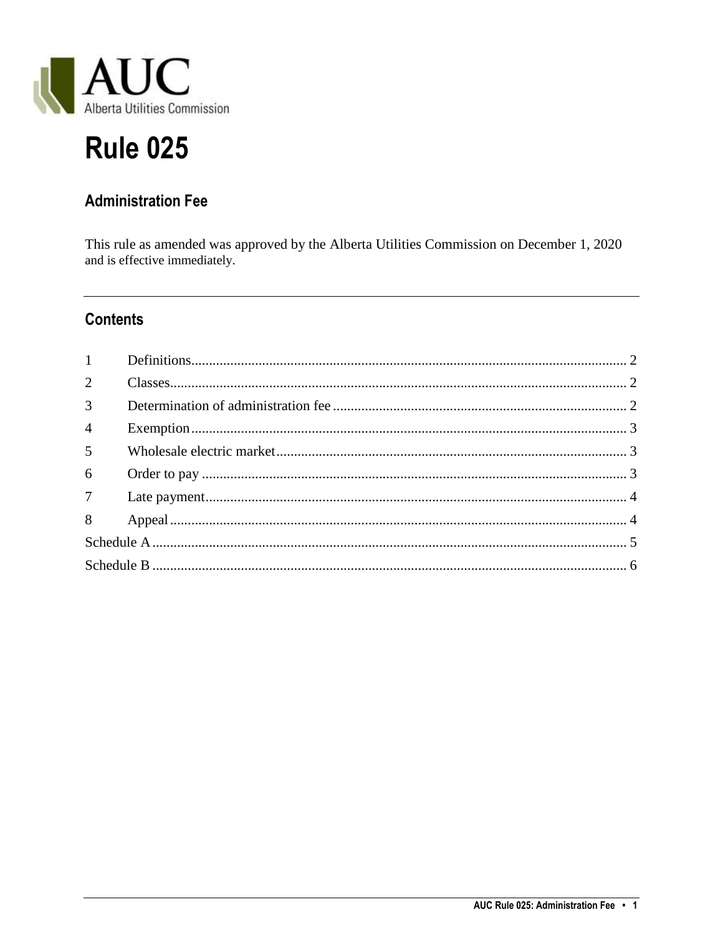

# **Rule 025**

# **Administration Fee**

This rule as amended was approved by the Alberta Utilities Commission on December 1, 2020 and is effective immediately.

# **Contents**

| $1 \qquad \qquad$ |  |  |
|-------------------|--|--|
| $\overline{2}$    |  |  |
| $\overline{3}$    |  |  |
| $\overline{4}$    |  |  |
| 5 <sup>5</sup>    |  |  |
| 6                 |  |  |
|                   |  |  |
|                   |  |  |
|                   |  |  |
|                   |  |  |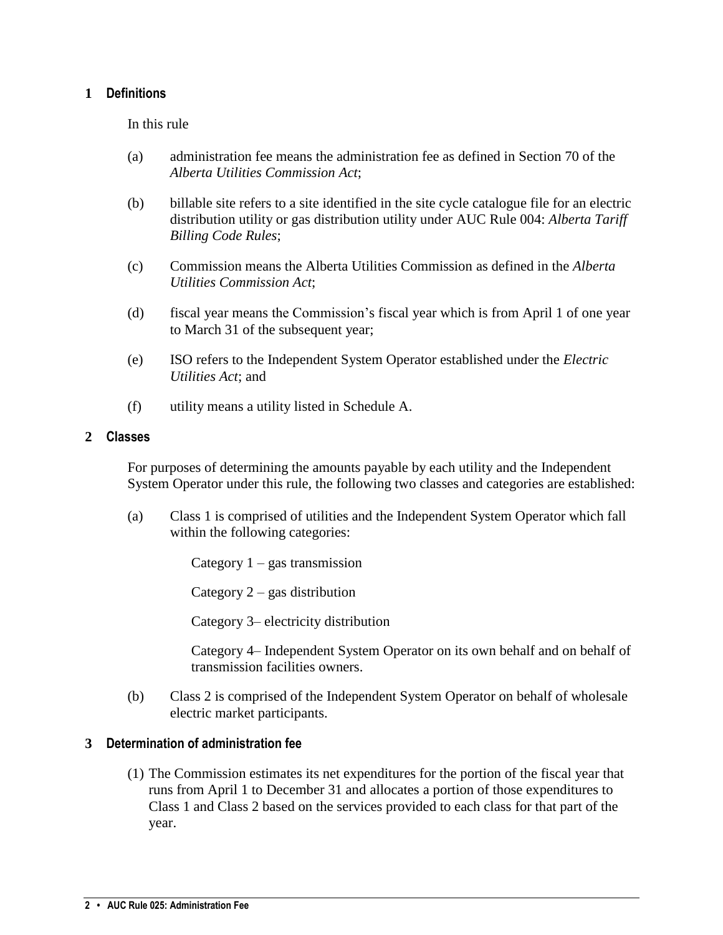#### <span id="page-1-0"></span>**1 Definitions**

In this rule

- (a) administration fee means the administration fee as defined in Section 70 of the *Alberta Utilities Commission Act*;
- (b) billable site refers to a site identified in the site cycle catalogue file for an electric distribution utility or gas distribution utility under AUC Rule 004: *Alberta Tariff Billing Code Rules*;
- (c) Commission means the Alberta Utilities Commission as defined in the *Alberta Utilities Commission Act*;
- (d) fiscal year means the Commission's fiscal year which is from April 1 of one year to March 31 of the subsequent year;
- (e) ISO refers to the Independent System Operator established under the *Electric Utilities Act*; and
- (f) utility means a utility listed in Schedule A.

#### <span id="page-1-1"></span>**2 Classes**

For purposes of determining the amounts payable by each utility and the Independent System Operator under this rule, the following two classes and categories are established:

(a) Class 1 is comprised of utilities and the Independent System Operator which fall within the following categories:

Category  $1 - gas$  transmission

Category 2 – gas distribution

Category 3– electricity distribution

Category 4– Independent System Operator on its own behalf and on behalf of transmission facilities owners.

(b) Class 2 is comprised of the Independent System Operator on behalf of wholesale electric market participants.

#### <span id="page-1-2"></span>**3 Determination of administration fee**

(1) The Commission estimates its net expenditures for the portion of the fiscal year that runs from April 1 to December 31 and allocates a portion of those expenditures to Class 1 and Class 2 based on the services provided to each class for that part of the year.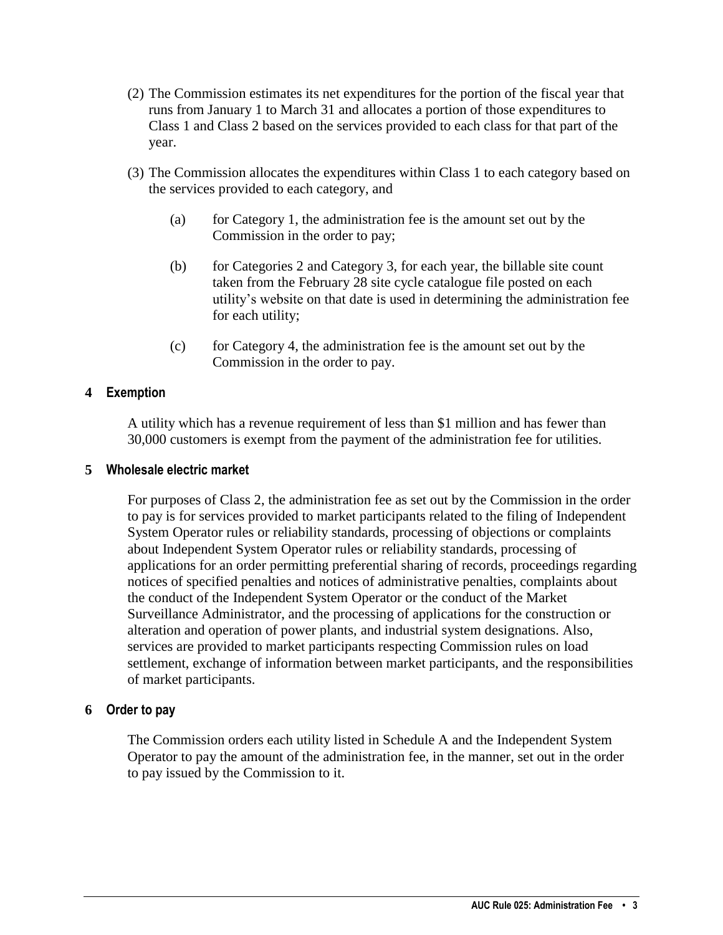- (2) The Commission estimates its net expenditures for the portion of the fiscal year that runs from January 1 to March 31 and allocates a portion of those expenditures to Class 1 and Class 2 based on the services provided to each class for that part of the year.
- (3) The Commission allocates the expenditures within Class 1 to each category based on the services provided to each category, and
	- (a) for Category 1, the administration fee is the amount set out by the Commission in the order to pay;
	- (b) for Categories 2 and Category 3, for each year, the billable site count taken from the February 28 site cycle catalogue file posted on each utility's website on that date is used in determining the administration fee for each utility;
	- (c) for Category 4, the administration fee is the amount set out by the Commission in the order to pay.

#### <span id="page-2-0"></span>**4 Exemption**

A utility which has a revenue requirement of less than \$1 million and has fewer than 30,000 customers is exempt from the payment of the administration fee for utilities.

#### <span id="page-2-1"></span>**5 Wholesale electric market**

For purposes of Class 2, the administration fee as set out by the Commission in the order to pay is for services provided to market participants related to the filing of Independent System Operator rules or reliability standards, processing of objections or complaints about Independent System Operator rules or reliability standards, processing of applications for an order permitting preferential sharing of records, proceedings regarding notices of specified penalties and notices of administrative penalties, complaints about the conduct of the Independent System Operator or the conduct of the Market Surveillance Administrator, and the processing of applications for the construction or alteration and operation of power plants, and industrial system designations. Also, services are provided to market participants respecting Commission rules on load settlement, exchange of information between market participants, and the responsibilities of market participants.

#### <span id="page-2-2"></span>**6 Order to pay**

The Commission orders each utility listed in Schedule A and the Independent System Operator to pay the amount of the administration fee, in the manner, set out in the order to pay issued by the Commission to it.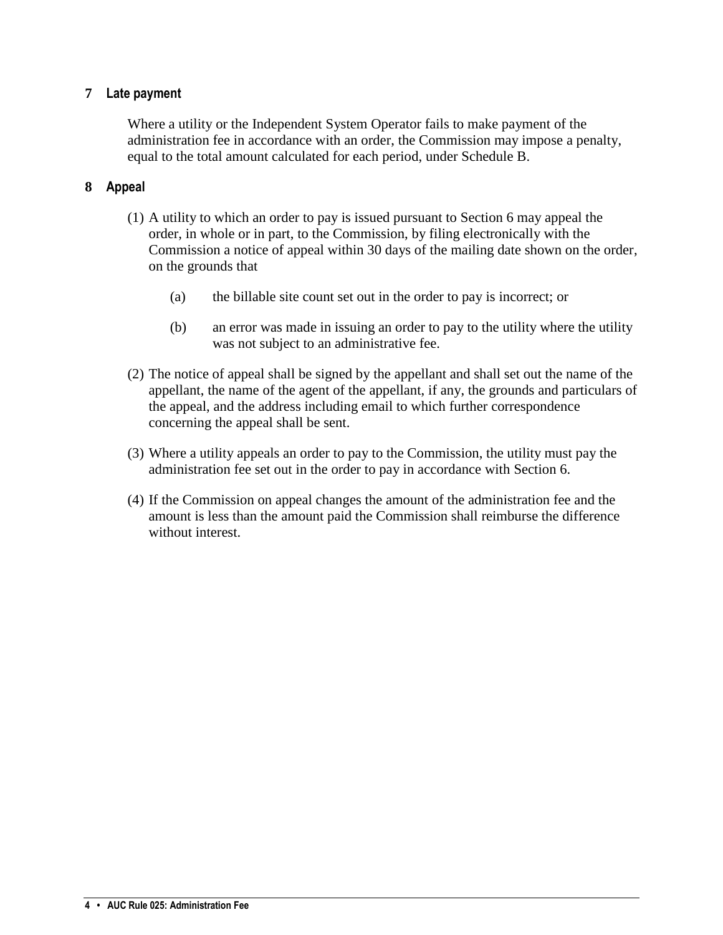#### <span id="page-3-0"></span>**7 Late payment**

Where a utility or the Independent System Operator fails to make payment of the administration fee in accordance with an order, the Commission may impose a penalty, equal to the total amount calculated for each period, under Schedule B.

#### <span id="page-3-1"></span>**8 Appeal**

- (1) A utility to which an order to pay is issued pursuant to Section 6 may appeal the order, in whole or in part, to the Commission, by filing electronically with the Commission a notice of appeal within 30 days of the mailing date shown on the order, on the grounds that
	- (a) the billable site count set out in the order to pay is incorrect; or
	- (b) an error was made in issuing an order to pay to the utility where the utility was not subject to an administrative fee.
- (2) The notice of appeal shall be signed by the appellant and shall set out the name of the appellant, the name of the agent of the appellant, if any, the grounds and particulars of the appeal, and the address including email to which further correspondence concerning the appeal shall be sent.
- (3) Where a utility appeals an order to pay to the Commission, the utility must pay the administration fee set out in the order to pay in accordance with Section 6.
- (4) If the Commission on appeal changes the amount of the administration fee and the amount is less than the amount paid the Commission shall reimburse the difference without interest.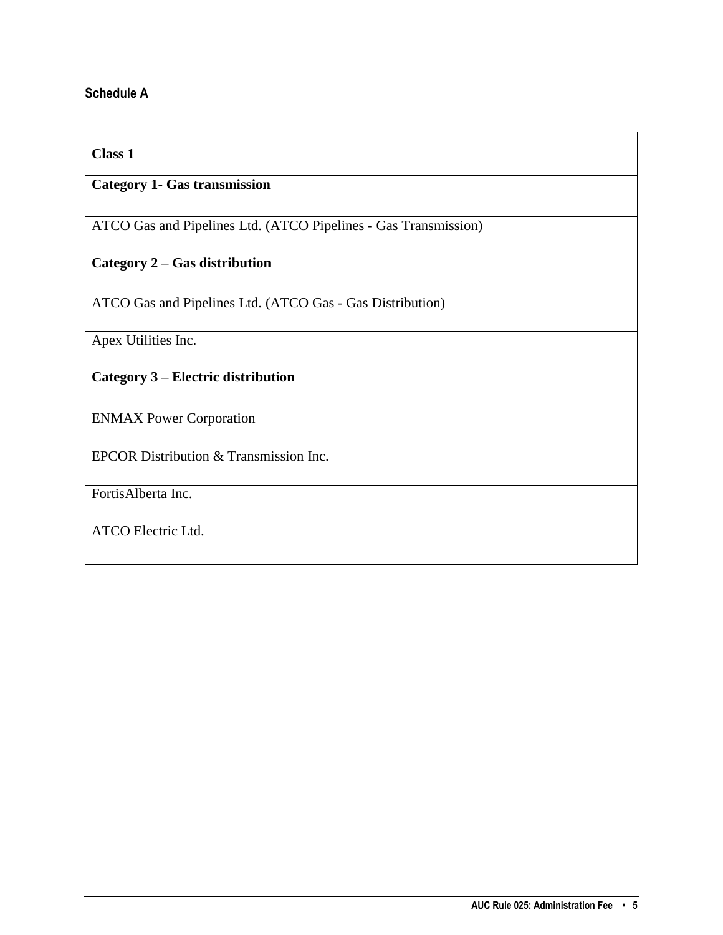### <span id="page-4-0"></span>**Schedule A**

#### **Class 1**

## **Category 1- Gas transmission**

ATCO Gas and Pipelines Ltd. (ATCO Pipelines - Gas Transmission)

## **Category 2 – Gas distribution**

ATCO Gas and Pipelines Ltd. (ATCO Gas - Gas Distribution)

Apex Utilities Inc.

## **Category 3 – Electric distribution**

ENMAX Power Corporation

EPCOR Distribution & Transmission Inc.

FortisAlberta Inc.

ATCO Electric Ltd.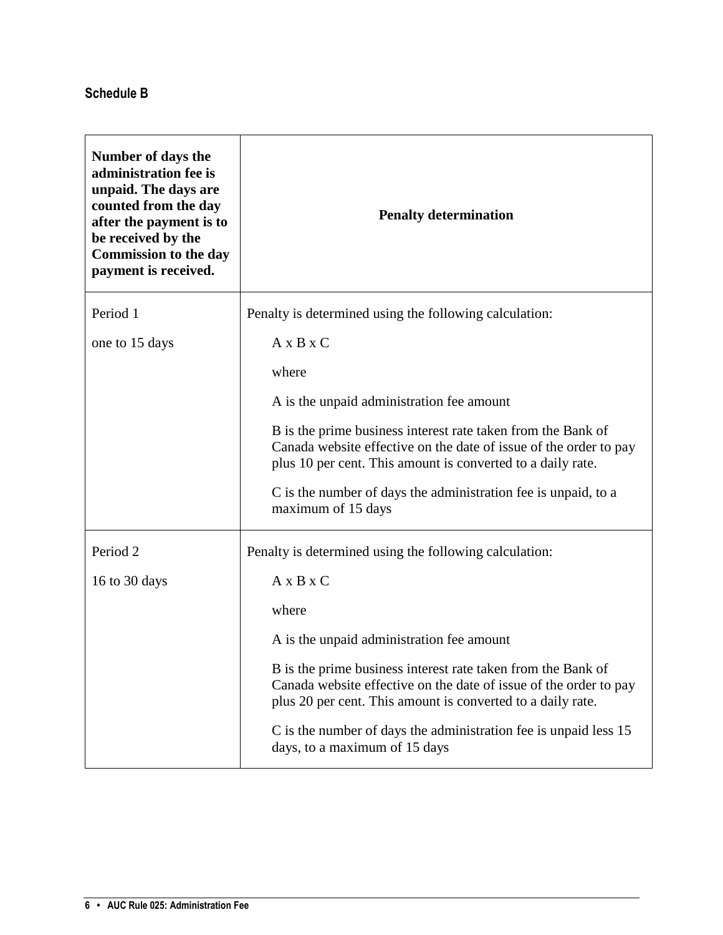## <span id="page-5-0"></span>**Schedule B**

| Number of days the<br>administration fee is<br>unpaid. The days are<br>counted from the day<br>after the payment is to<br>be received by the<br><b>Commission to the day</b><br>payment is received. | <b>Penalty determination</b>                                                                                                                                                                     |
|------------------------------------------------------------------------------------------------------------------------------------------------------------------------------------------------------|--------------------------------------------------------------------------------------------------------------------------------------------------------------------------------------------------|
| Period 1                                                                                                                                                                                             | Penalty is determined using the following calculation:                                                                                                                                           |
| one to 15 days                                                                                                                                                                                       | $A \times B \times C$                                                                                                                                                                            |
|                                                                                                                                                                                                      | where                                                                                                                                                                                            |
|                                                                                                                                                                                                      | A is the unpaid administration fee amount                                                                                                                                                        |
|                                                                                                                                                                                                      | B is the prime business interest rate taken from the Bank of<br>Canada website effective on the date of issue of the order to pay<br>plus 10 per cent. This amount is converted to a daily rate. |
|                                                                                                                                                                                                      | C is the number of days the administration fee is unpaid, to a<br>maximum of 15 days                                                                                                             |
| Period <sub>2</sub>                                                                                                                                                                                  | Penalty is determined using the following calculation:                                                                                                                                           |
| 16 to 30 days                                                                                                                                                                                        | $A \times B \times C$                                                                                                                                                                            |
|                                                                                                                                                                                                      | where                                                                                                                                                                                            |
|                                                                                                                                                                                                      | A is the unpaid administration fee amount                                                                                                                                                        |
|                                                                                                                                                                                                      | B is the prime business interest rate taken from the Bank of<br>Canada website effective on the date of issue of the order to pay<br>plus 20 per cent. This amount is converted to a daily rate. |
|                                                                                                                                                                                                      | C is the number of days the administration fee is unpaid less 15<br>days, to a maximum of 15 days                                                                                                |